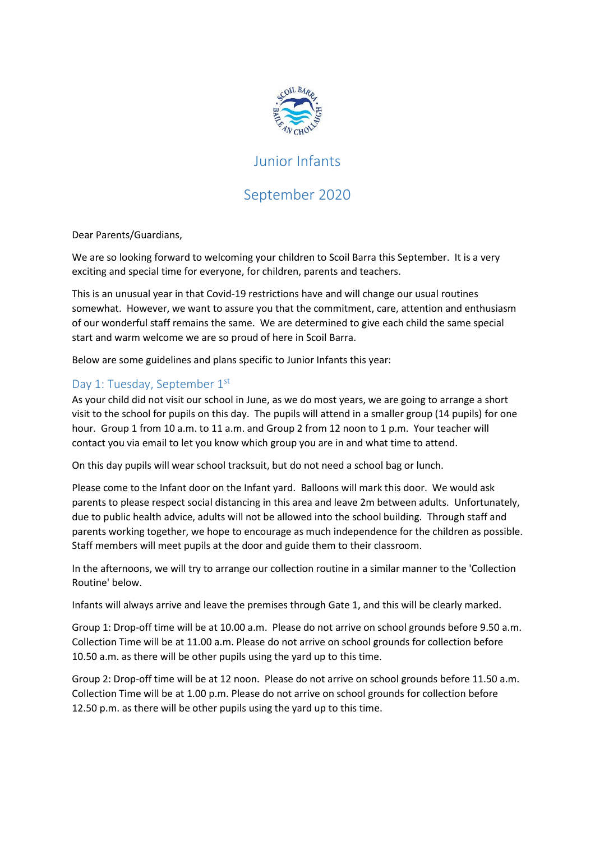

# Junior Infants

# September 2020

Dear Parents/Guardians,

We are so looking forward to welcoming your children to Scoil Barra this September. It is a very exciting and special time for everyone, for children, parents and teachers.

This is an unusual year in that Covid-19 restrictions have and will change our usual routines somewhat. However, we want to assure you that the commitment, care, attention and enthusiasm of our wonderful staff remains the same. We are determined to give each child the same special start and warm welcome we are so proud of here in Scoil Barra.

Below are some guidelines and plans specific to Junior Infants this year:

### Day 1: Tuesday, September 1st

As your child did not visit our school in June, as we do most years, we are going to arrange a short visit to the school for pupils on this day. The pupils will attend in a smaller group (14 pupils) for one hour. Group 1 from 10 a.m. to 11 a.m. and Group 2 from 12 noon to 1 p.m. Your teacher will contact you via email to let you know which group you are in and what time to attend.

On this day pupils will wear school tracksuit, but do not need a school bag or lunch.

Please come to the Infant door on the Infant yard. Balloons will mark this door. We would ask parents to please respect social distancing in this area and leave 2m between adults. Unfortunately, due to public health advice, adults will not be allowed into the school building. Through staff and parents working together, we hope to encourage as much independence for the children as possible. Staff members will meet pupils at the door and guide them to their classroom.

In the afternoons, we will try to arrange our collection routine in a similar manner to the 'Collection Routine' below.

Infants will always arrive and leave the premises through Gate 1, and this will be clearly marked.

Group 1: Drop-off time will be at 10.00 a.m. Please do not arrive on school grounds before 9.50 a.m. Collection Time will be at 11.00 a.m. Please do not arrive on school grounds for collection before 10.50 a.m. as there will be other pupils using the yard up to this time.

Group 2: Drop-off time will be at 12 noon. Please do not arrive on school grounds before 11.50 a.m. Collection Time will be at 1.00 p.m. Please do not arrive on school grounds for collection before 12.50 p.m. as there will be other pupils using the yard up to this time.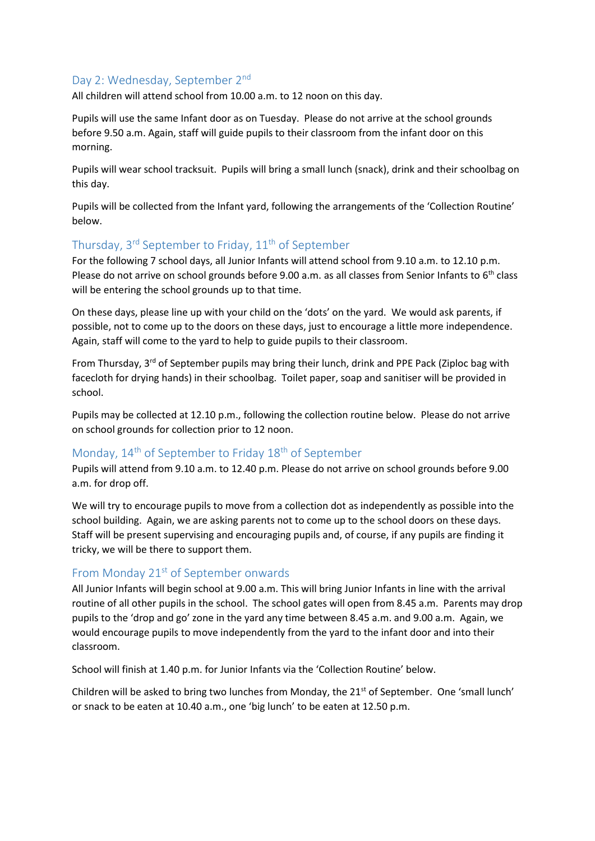#### Day 2: Wednesday, September 2<sup>nd</sup>

All children will attend school from 10.00 a.m. to 12 noon on this day.

Pupils will use the same Infant door as on Tuesday. Please do not arrive at the school grounds before 9.50 a.m. Again, staff will guide pupils to their classroom from the infant door on this morning.

Pupils will wear school tracksuit. Pupils will bring a small lunch (snack), drink and their schoolbag on this day.

Pupils will be collected from the Infant yard, following the arrangements of the 'Collection Routine' below.

## Thursday, 3<sup>rd</sup> September to Friday, 11<sup>th</sup> of September

For the following 7 school days, all Junior Infants will attend school from 9.10 a.m. to 12.10 p.m. Please do not arrive on school grounds before 9.00 a.m. as all classes from Senior Infants to 6<sup>th</sup> class will be entering the school grounds up to that time.

On these days, please line up with your child on the 'dots' on the yard. We would ask parents, if possible, not to come up to the doors on these days, just to encourage a little more independence. Again, staff will come to the yard to help to guide pupils to their classroom.

From Thursday, 3<sup>rd</sup> of September pupils may bring their lunch, drink and PPE Pack (Ziploc bag with facecloth for drying hands) in their schoolbag. Toilet paper, soap and sanitiser will be provided in school.

Pupils may be collected at 12.10 p.m., following the collection routine below. Please do not arrive on school grounds for collection prior to 12 noon.

## Monday, 14<sup>th</sup> of September to Friday 18<sup>th</sup> of September

Pupils will attend from 9.10 a.m. to 12.40 p.m. Please do not arrive on school grounds before 9.00 a.m. for drop off.

We will try to encourage pupils to move from a collection dot as independently as possible into the school building. Again, we are asking parents not to come up to the school doors on these days. Staff will be present supervising and encouraging pupils and, of course, if any pupils are finding it tricky, we will be there to support them.

#### From Monday 21<sup>st</sup> of September onwards

All Junior Infants will begin school at 9.00 a.m. This will bring Junior Infants in line with the arrival routine of all other pupils in the school. The school gates will open from 8.45 a.m. Parents may drop pupils to the 'drop and go' zone in the yard any time between 8.45 a.m. and 9.00 a.m. Again, we would encourage pupils to move independently from the yard to the infant door and into their classroom.

School will finish at 1.40 p.m. for Junior Infants via the 'Collection Routine' below.

Children will be asked to bring two lunches from Monday, the  $21<sup>st</sup>$  of September. One 'small lunch' or snack to be eaten at 10.40 a.m., one 'big lunch' to be eaten at 12.50 p.m.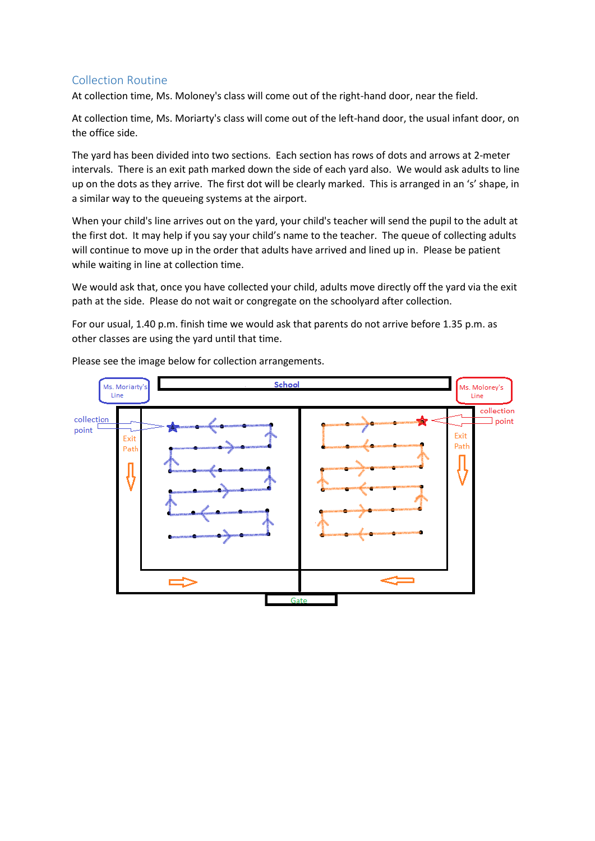#### Collection Routine

At collection time, Ms. Moloney's class will come out of the right-hand door, near the field.

At collection time, Ms. Moriarty's class will come out of the left-hand door, the usual infant door, on the office side.

The yard has been divided into two sections. Each section has rows of dots and arrows at 2-meter intervals. There is an exit path marked down the side of each yard also. We would ask adults to line up on the dots as they arrive. The first dot will be clearly marked. This is arranged in an 's' shape, in a similar way to the queueing systems at the airport.

When your child's line arrives out on the yard, your child's teacher will send the pupil to the adult at the first dot. It may help if you say your child's name to the teacher. The queue of collecting adults will continue to move up in the order that adults have arrived and lined up in. Please be patient while waiting in line at collection time.

We would ask that, once you have collected your child, adults move directly off the yard via the exit path at the side. Please do not wait or congregate on the schoolyard after collection.

For our usual, 1.40 p.m. finish time we would ask that parents do not arrive before 1.35 p.m. as other classes are using the yard until that time.



Please see the image below for collection arrangements.